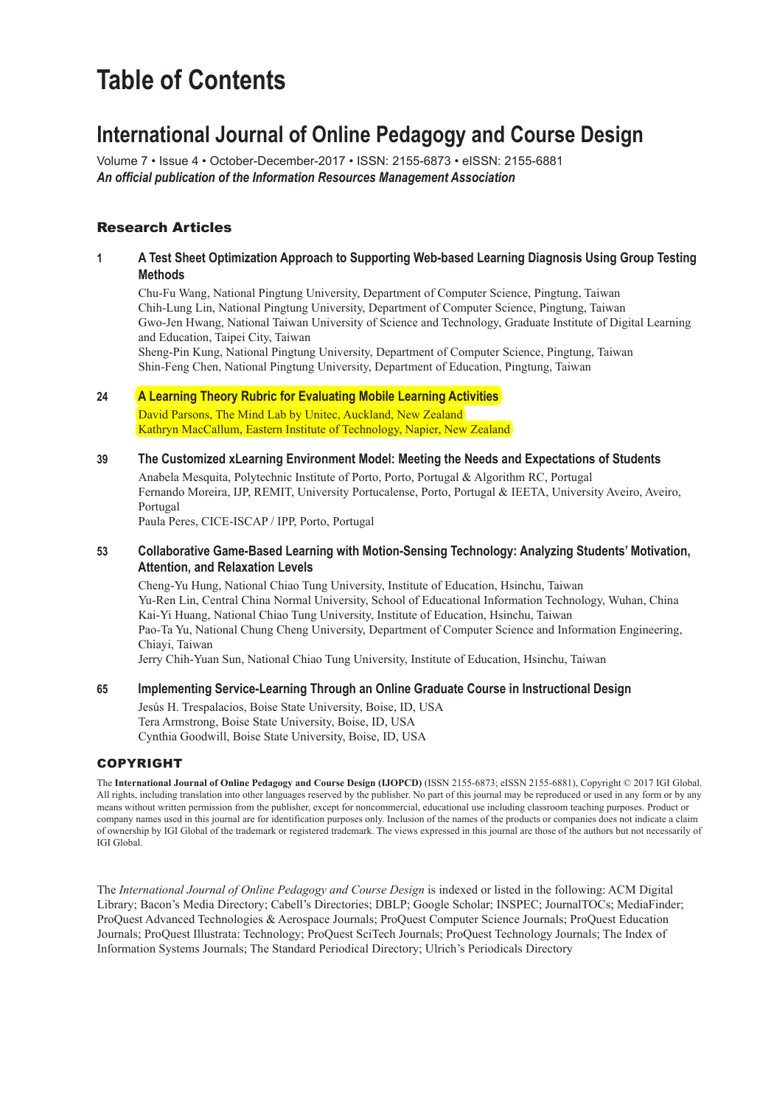# **Table of Contents**

## **International Journal of Online Pedagogy and Course Design**

Volume 7 • Issue 4 • October-December-2017 • ISSN: 2155-6873 • eISSN: 2155-6881 *An official publication of the Information Resources Management Association*

#### Research Articles

#### **1 A Test Sheet Optimization Approach to Supporting Web-based Learning Diagnosis Using Group Testing Methods;**

Chu-Fu Wang, National Pingtung University, Department of Computer Science, Pingtung, Taiwan Chih-Lung Lin, National Pingtung University, Department of Computer Science, Pingtung, Taiwan Gwo-Jen Hwang, National Taiwan University of Science and Technology, Graduate Institute of Digital Learning and Education, Taipei City, Taiwan

Sheng-Pin Kung, National Pingtung University, Department of Computer Science, Pingtung, Taiwan Shin-Feng Chen, National Pingtung University, Department of Education, Pingtung, Taiwan

#### **24 A Learning Theory Rubric for Evaluating Mobile Learning Activities;**

David Parsons, The Mind Lab by Unitec, Auckland, New Zealand Kathryn MacCallum, Eastern Institute of Technology, Napier, New Zealand

**39 The Customized xLearning Environment Model: Meeting the Needs and Expectations of Students;**

Anabela Mesquita, Polytechnic Institute of Porto, Porto, Portugal & Algorithm RC, Portugal Fernando Moreira, IJP, REMIT, University Portucalense, Porto, Portugal & IEETA, University Aveiro, Aveiro, Portugal

Paula Peres, CICE-ISCAP / IPP, Porto, Portugal

#### **53 Collaborative Game-Based Learning with Motion-Sensing Technology: Analyzing Students' Motivation, Attention, and Relaxation Levels;**

Cheng-Yu Hung, National Chiao Tung University, Institute of Education, Hsinchu, Taiwan Yu-Ren Lin, Central China Normal University, School of Educational Information Technology, Wuhan, China Kai-Yi Huang, National Chiao Tung University, Institute of Education, Hsinchu, Taiwan Pao-Ta Yu, National Chung Cheng University, Department of Computer Science and Information Engineering, Chiayi, Taiwan Jerry Chih-Yuan Sun, National Chiao Tung University, Institute of Education, Hsinchu, Taiwan

#### **65 Implementing Service-Learning Through an Online Graduate Course in Instructional Design;**

Jesús H. Trespalacios, Boise State University, Boise, ID, USA Tera Armstrong, Boise State University, Boise, ID, USA Cynthia Goodwill, Boise State University, Boise, ID, USA

#### Copyright

The **International Journal of Online Pedagogy and Course Design (IJOPCD)** (ISSN 2155-6873; eISSN 2155-6881), Copyright © 2017 IGI Global. All rights, including translation into other languages reserved by the publisher. No part of this journal may be reproduced or used in any form or by any means without written permission from the publisher, except for noncommercial, educational use including classroom teaching purposes. Product or company names used in this journal are for identification purposes only. Inclusion of the names of the products or companies does not indicate a claim of ownership by IGI Global of the trademark or registered trademark. The views expressed in this journal are those of the authors but not necessarily of IGI Global.

The *International Journal of Online Pedagogy and Course Design* is indexed or listed in the following: ACM Digital Library; Bacon's Media Directory; Cabell's Directories; DBLP; Google Scholar; INSPEC; JournalTOCs; MediaFinder; ProQuest Advanced Technologies & Aerospace Journals; ProQuest Computer Science Journals; ProQuest Education Journals; ProQuest Illustrata: Technology; ProQuest SciTech Journals; ProQuest Technology Journals; The Index of Information Systems Journals; The Standard Periodical Directory; Ulrich's Periodicals Directory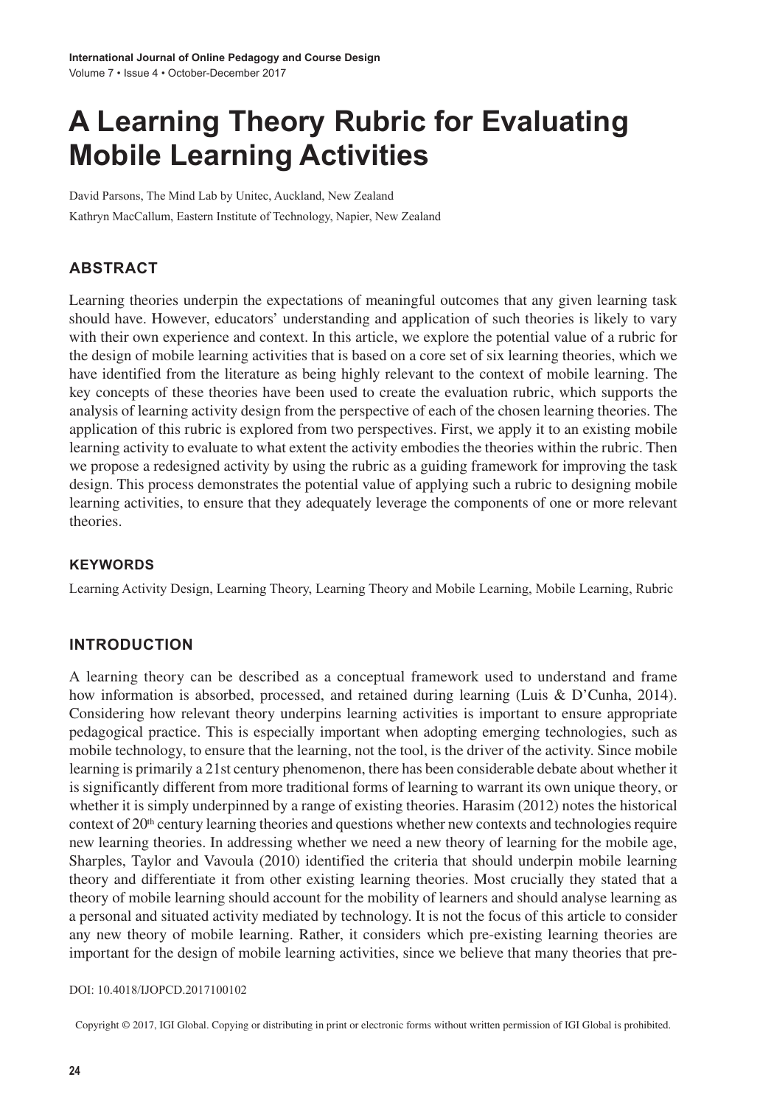# **A Learning Theory Rubric for Evaluating Mobile Learning Activities**

David Parsons, The Mind Lab by Unitec, Auckland, New Zealand Kathryn MacCallum, Eastern Institute of Technology, Napier, New Zealand

### **ABSTRACT**

Learning theories underpin the expectations of meaningful outcomes that any given learning task should have. However, educators' understanding and application of such theories is likely to vary with their own experience and context. In this article, we explore the potential value of a rubric for the design of mobile learning activities that is based on a core set of six learning theories, which we have identified from the literature as being highly relevant to the context of mobile learning. The key concepts of these theories have been used to create the evaluation rubric, which supports the analysis of learning activity design from the perspective of each of the chosen learning theories. The application of this rubric is explored from two perspectives. First, we apply it to an existing mobile learning activity to evaluate to what extent the activity embodies the theories within the rubric. Then we propose a redesigned activity by using the rubric as a guiding framework for improving the task design. This process demonstrates the potential value of applying such a rubric to designing mobile learning activities, to ensure that they adequately leverage the components of one or more relevant theories.

#### **Keywords**

Learning Activity Design, Learning Theory, Learning Theory and Mobile Learning, Mobile Learning, Rubric

#### **INTRODUCTION**

A learning theory can be described as a conceptual framework used to understand and frame how information is absorbed, processed, and retained during learning (Luis & D'Cunha, 2014). Considering how relevant theory underpins learning activities is important to ensure appropriate pedagogical practice. This is especially important when adopting emerging technologies, such as mobile technology, to ensure that the learning, not the tool, is the driver of the activity. Since mobile learning is primarily a 21st century phenomenon, there has been considerable debate about whether it is significantly different from more traditional forms of learning to warrant its own unique theory, or whether it is simply underpinned by a range of existing theories. Harasim (2012) notes the historical context of  $20<sup>th</sup>$  century learning theories and questions whether new contexts and technologies require new learning theories. In addressing whether we need a new theory of learning for the mobile age, Sharples, Taylor and Vavoula (2010) identified the criteria that should underpin mobile learning theory and differentiate it from other existing learning theories. Most crucially they stated that a theory of mobile learning should account for the mobility of learners and should analyse learning as a personal and situated activity mediated by technology. It is not the focus of this article to consider any new theory of mobile learning. Rather, it considers which pre-existing learning theories are important for the design of mobile learning activities, since we believe that many theories that pre-

#### DOI: 10.4018/IJOPCD.2017100102

Copyright © 2017, IGI Global. Copying or distributing in print or electronic forms without written permission of IGI Global is prohibited.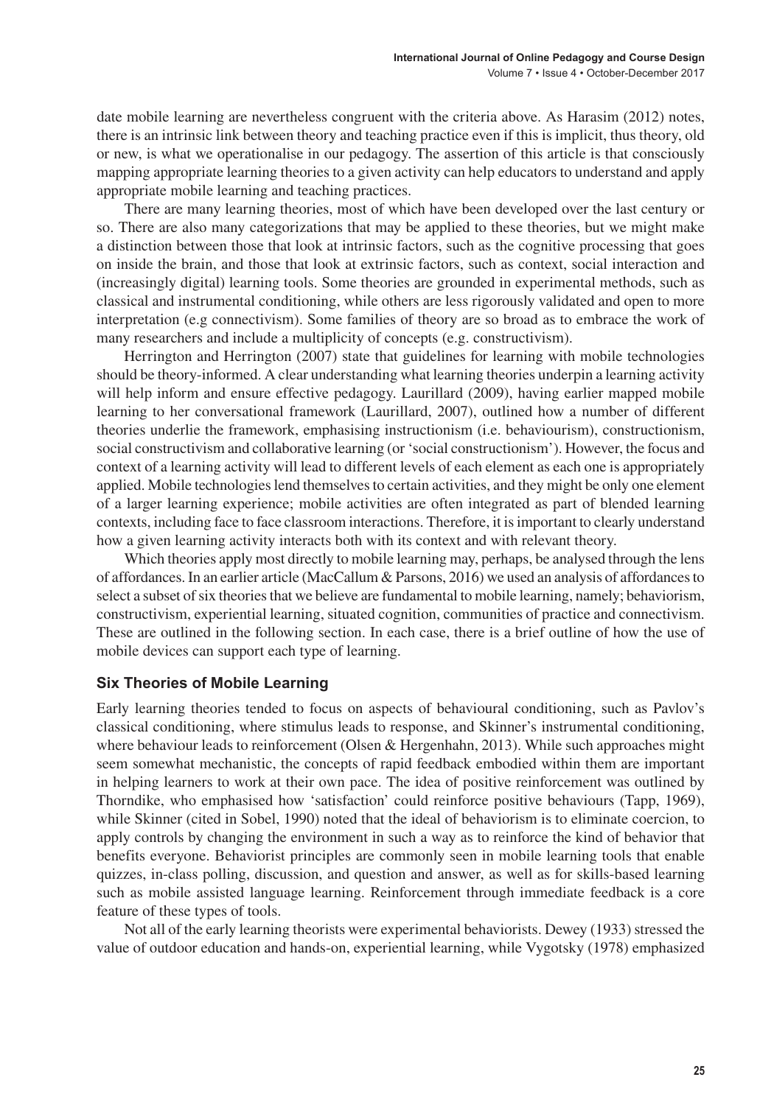date mobile learning are nevertheless congruent with the criteria above. As Harasim (2012) notes, there is an intrinsic link between theory and teaching practice even if this is implicit, thus theory, old or new, is what we operationalise in our pedagogy. The assertion of this article is that consciously mapping appropriate learning theories to a given activity can help educators to understand and apply appropriate mobile learning and teaching practices.

There are many learning theories, most of which have been developed over the last century or so. There are also many categorizations that may be applied to these theories, but we might make a distinction between those that look at intrinsic factors, such as the cognitive processing that goes on inside the brain, and those that look at extrinsic factors, such as context, social interaction and (increasingly digital) learning tools. Some theories are grounded in experimental methods, such as classical and instrumental conditioning, while others are less rigorously validated and open to more interpretation (e.g connectivism). Some families of theory are so broad as to embrace the work of many researchers and include a multiplicity of concepts (e.g. constructivism).

Herrington and Herrington (2007) state that guidelines for learning with mobile technologies should be theory-informed. A clear understanding what learning theories underpin a learning activity will help inform and ensure effective pedagogy. Laurillard (2009), having earlier mapped mobile learning to her conversational framework (Laurillard, 2007), outlined how a number of different theories underlie the framework, emphasising instructionism (i.e. behaviourism), constructionism, social constructivism and collaborative learning (or 'social constructionism'). However, the focus and context of a learning activity will lead to different levels of each element as each one is appropriately applied. Mobile technologieslend themselvesto certain activities, and they might be only one element of a larger learning experience; mobile activities are often integrated as part of blended learning contexts, including face to face classroom interactions. Therefore, it isimportant to clearly understand how a given learning activity interacts both with its context and with relevant theory.

Which theories apply most directly to mobile learning may, perhaps, be analysed through the lens of affordances. In an earlier article (MacCallum  $&$  Parsons, 2016) we used an analysis of affordances to select a subset of six theories that we believe are fundamental to mobile learning, namely; behaviorism, constructivism, experiential learning, situated cognition, communities of practice and connectivism. These are outlined in the following section. In each case, there is a brief outline of how the use of mobile devices can support each type of learning.

#### **Six Theories of Mobile Learning**

Early learning theories tended to focus on aspects of behavioural conditioning, such as Pavlov's classical conditioning, where stimulus leads to response, and Skinner's instrumental conditioning, where behaviour leads to reinforcement (Olsen & Hergenhahn, 2013). While such approaches might seem somewhat mechanistic, the concepts of rapid feedback embodied within them are important in helping learners to work at their own pace. The idea of positive reinforcement was outlined by Thorndike, who emphasised how 'satisfaction' could reinforce positive behaviours (Tapp, 1969), while Skinner (cited in Sobel, 1990) noted that the ideal of behaviorism is to eliminate coercion, to apply controls by changing the environment in such a way as to reinforce the kind of behavior that benefits everyone. Behaviorist principles are commonly seen in mobile learning tools that enable quizzes, in-class polling, discussion, and question and answer, as well as for skills-based learning such as mobile assisted language learning. Reinforcement through immediate feedback is a core feature of these types of tools.

Not all of the early learning theorists were experimental behaviorists. Dewey (1933) stressed the value of outdoor education and hands-on, experiential learning, while Vygotsky (1978) emphasized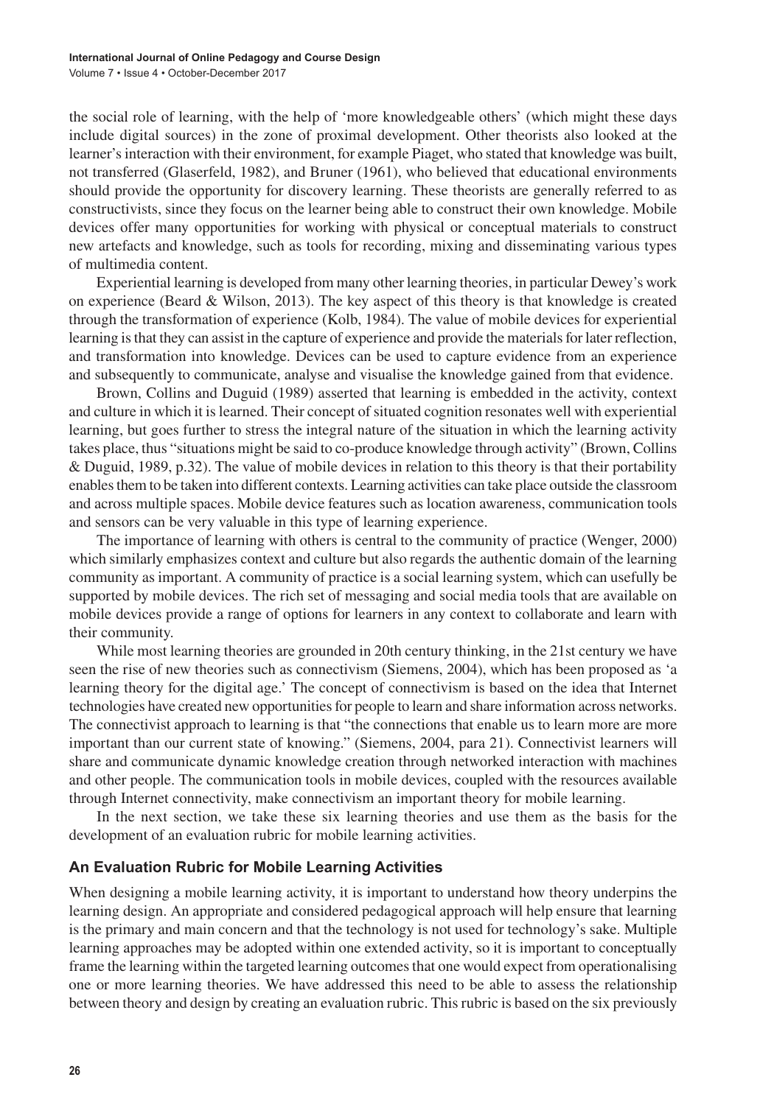the social role of learning, with the help of 'more knowledgeable others' (which might these days include digital sources) in the zone of proximal development. Other theorists also looked at the learner's interaction with their environment, for example Piaget, who stated that knowledge was built, not transferred (Glaserfeld, 1982), and Bruner (1961), who believed that educational environments should provide the opportunity for discovery learning. These theorists are generally referred to as constructivists, since they focus on the learner being able to construct their own knowledge. Mobile devices offer many opportunities for working with physical or conceptual materials to construct new artefacts and knowledge, such as tools for recording, mixing and disseminating various types of multimedia content.

Experiential learning is developed from many other learning theories, in particular Dewey's work on experience (Beard & Wilson, 2013). The key aspect of this theory is that knowledge is created through the transformation of experience (Kolb, 1984). The value of mobile devices for experiential learning is that they can assist in the capture of experience and provide the materials for later reflection, and transformation into knowledge. Devices can be used to capture evidence from an experience and subsequently to communicate, analyse and visualise the knowledge gained from that evidence.

Brown, Collins and Duguid (1989) asserted that learning is embedded in the activity, context and culture in which it is learned. Their concept of situated cognition resonates well with experiential learning, but goes further to stress the integral nature of the situation in which the learning activity takes place, thus "situations might be said to co-produce knowledge through activity" (Brown, Collins & Duguid, 1989, p.32). The value of mobile devices in relation to this theory is that their portability enablesthem to be taken into different contexts. Learning activities can take place outside the classroom and across multiple spaces. Mobile device features such as location awareness, communication tools and sensors can be very valuable in this type of learning experience.

The importance of learning with others is central to the community of practice (Wenger, 2000) which similarly emphasizes context and culture but also regards the authentic domain of the learning community as important. A community of practice is a social learning system, which can usefully be supported by mobile devices. The rich set of messaging and social media tools that are available on mobile devices provide a range of options for learners in any context to collaborate and learn with their community.

While most learning theories are grounded in 20th century thinking, in the 21st century we have seen the rise of new theories such as connectivism (Siemens, 2004), which has been proposed as 'a learning theory for the digital age.' The concept of connectivism is based on the idea that Internet technologies have created new opportunities for people to learn and share information across networks. The connectivist approach to learning is that "the connections that enable us to learn more are more important than our current state of knowing." (Siemens, 2004, para 21). Connectivist learners will share and communicate dynamic knowledge creation through networked interaction with machines and other people. The communication tools in mobile devices, coupled with the resources available through Internet connectivity, make connectivism an important theory for mobile learning.

In the next section, we take these six learning theories and use them as the basis for the development of an evaluation rubric for mobile learning activities.

#### **An Evaluation Rubric for Mobile Learning Activities**

When designing a mobile learning activity, it is important to understand how theory underpins the learning design. An appropriate and considered pedagogical approach will help ensure that learning is the primary and main concern and that the technology is not used for technology's sake. Multiple learning approaches may be adopted within one extended activity, so it is important to conceptually frame the learning within the targeted learning outcomesthat one would expect from operationalising one or more learning theories. We have addressed this need to be able to assess the relationship between theory and design by creating an evaluation rubric. Thisrubric is based on the six previously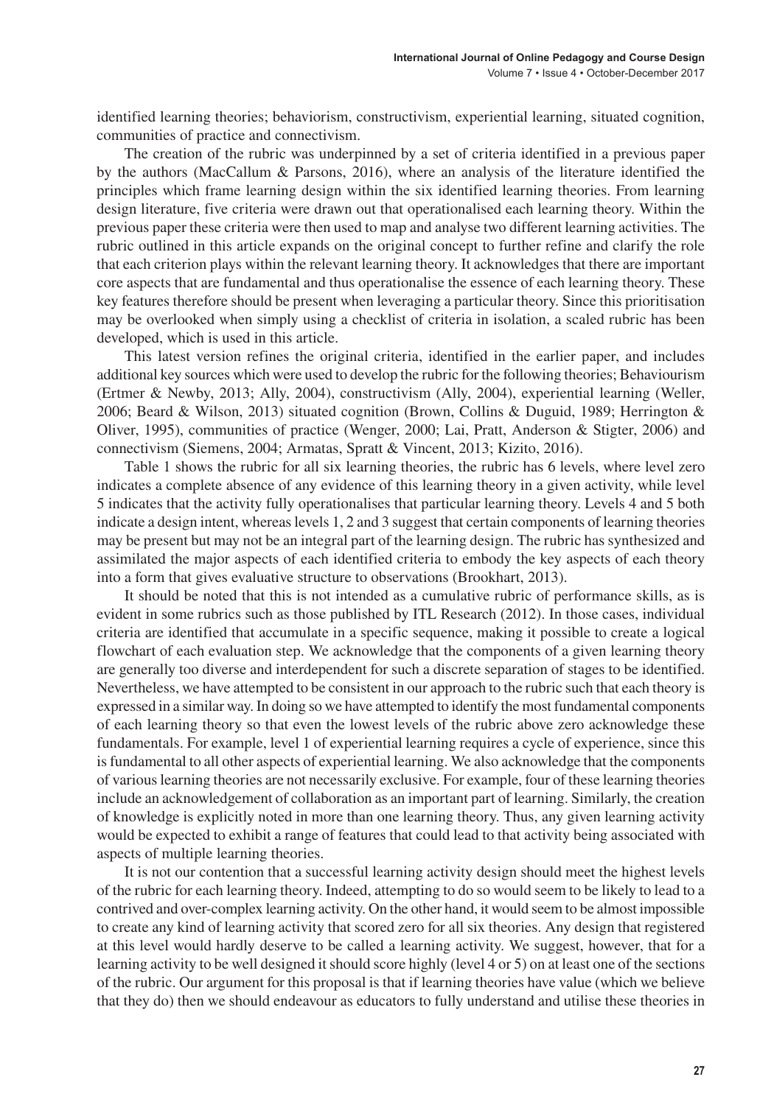identified learning theories; behaviorism, constructivism, experiential learning, situated cognition, communities of practice and connectivism.

The creation of the rubric was underpinned by a set of criteria identified in a previous paper by the authors (MacCallum & Parsons, 2016), where an analysis of the literature identified the principles which frame learning design within the six identified learning theories. From learning design literature, five criteria were drawn out that operationalised each learning theory. Within the previous paper these criteria were then used to map and analyse two different learning activities. The rubric outlined in this article expands on the original concept to further refine and clarify the role that each criterion plays within the relevant learning theory. It acknowledges that there are important core aspects that are fundamental and thus operationalise the essence of each learning theory. These key features therefore should be present when leveraging a particular theory. Since this prioritisation may be overlooked when simply using a checklist of criteria in isolation, a scaled rubric has been developed, which is used in this article.

This latest version refines the original criteria, identified in the earlier paper, and includes additional key sources which were used to develop the rubric for the following theories; Behaviourism (Ertmer & Newby, 2013; Ally, 2004), constructivism (Ally, 2004), experiential learning (Weller, 2006; Beard & Wilson, 2013) situated cognition (Brown, Collins & Duguid, 1989; Herrington & Oliver, 1995), communities of practice (Wenger, 2000; Lai, Pratt, Anderson & Stigter, 2006) and connectivism (Siemens, 2004; Armatas, Spratt & Vincent, 2013; Kizito, 2016).

Table 1 shows the rubric for all six learning theories, the rubric has 6 levels, where level zero indicates a complete absence of any evidence of this learning theory in a given activity, while level 5 indicates that the activity fully operationalises that particular learning theory. Levels 4 and 5 both indicate a design intent, whereas levels 1, 2 and 3 suggest that certain components of learning theories may be present but may not be an integral part of the learning design. The rubric has synthesized and assimilated the major aspects of each identified criteria to embody the key aspects of each theory into a form that gives evaluative structure to observations (Brookhart, 2013).

It should be noted that this is not intended as a cumulative rubric of performance skills, as is evident in some rubrics such as those published by ITL Research (2012). In those cases, individual criteria are identified that accumulate in a specific sequence, making it possible to create a logical flowchart of each evaluation step. We acknowledge that the components of a given learning theory are generally too diverse and interdependent for such a discrete separation of stages to be identified. Nevertheless, we have attempted to be consistent in our approach to the rubric such that each theory is expressed in a similar way. In doing so we have attempted to identify the most fundamental components of each learning theory so that even the lowest levels of the rubric above zero acknowledge these fundamentals. For example, level 1 of experiential learning requires a cycle of experience, since this isfundamental to all other aspects of experiential learning. We also acknowledge that the components of variouslearning theories are not necessarily exclusive. For example, four of these learning theories include an acknowledgement of collaboration as an important part of learning. Similarly, the creation of knowledge is explicitly noted in more than one learning theory. Thus, any given learning activity would be expected to exhibit a range of features that could lead to that activity being associated with aspects of multiple learning theories.

It is not our contention that a successful learning activity design should meet the highest levels of the rubric for each learning theory. Indeed, attempting to do so would seem to be likely to lead to a contrived and over-complex learning activity. On the other hand, it would seem to be almost impossible to create any kind of learning activity that scored zero for all six theories. Any design that registered at this level would hardly deserve to be called a learning activity. We suggest, however, that for a learning activity to be well designed itshould score highly (level 4 or 5) on at least one of the sections of the rubric. Our argument for this proposal is that if learning theories have value (which we believe that they do) then we should endeavour as educators to fully understand and utilise these theories in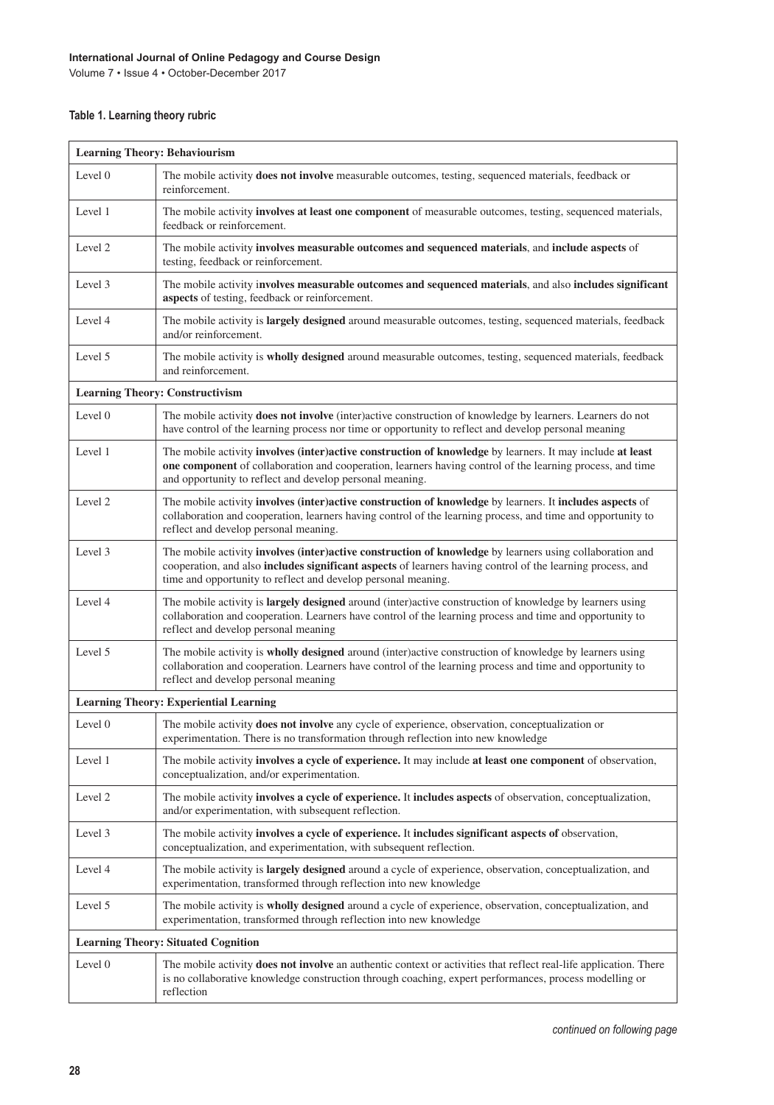Volume 7 • Issue 4 • October-December 2017

#### **Table 1. Learning theory rubric**

| <b>Learning Theory: Behaviourism</b>                                                                                                                                                                                                                                                                   |  |  |
|--------------------------------------------------------------------------------------------------------------------------------------------------------------------------------------------------------------------------------------------------------------------------------------------------------|--|--|
| The mobile activity <b>does not involve</b> measurable outcomes, testing, sequenced materials, feedback or<br>reinforcement.                                                                                                                                                                           |  |  |
| The mobile activity <b>involves at least one component</b> of measurable outcomes, testing, sequenced materials,<br>feedback or reinforcement.                                                                                                                                                         |  |  |
| The mobile activity involves measurable outcomes and sequenced materials, and include aspects of<br>testing, feedback or reinforcement.                                                                                                                                                                |  |  |
| The mobile activity involves measurable outcomes and sequenced materials, and also includes significant<br>aspects of testing, feedback or reinforcement.                                                                                                                                              |  |  |
| The mobile activity is largely designed around measurable outcomes, testing, sequenced materials, feedback<br>and/or reinforcement.                                                                                                                                                                    |  |  |
| The mobile activity is wholly designed around measurable outcomes, testing, sequenced materials, feedback<br>and reinforcement.                                                                                                                                                                        |  |  |
| <b>Learning Theory: Constructivism</b>                                                                                                                                                                                                                                                                 |  |  |
| The mobile activity <b>does not involve</b> (inter) active construction of knowledge by learners. Learners do not<br>have control of the learning process nor time or opportunity to reflect and develop personal meaning                                                                              |  |  |
| The mobile activity <b>involves</b> (inter) active construction of knowledge by learners. It may include at least<br>one component of collaboration and cooperation, learners having control of the learning process, and time<br>and opportunity to reflect and develop personal meaning.             |  |  |
| The mobile activity involves (inter)active construction of knowledge by learners. It includes aspects of<br>collaboration and cooperation, learners having control of the learning process, and time and opportunity to<br>reflect and develop personal meaning.                                       |  |  |
| The mobile activity <b>involves</b> (inter) active construction of knowledge by learners using collaboration and<br>cooperation, and also <b>includes significant aspects</b> of learners having control of the learning process, and<br>time and opportunity to reflect and develop personal meaning. |  |  |
| The mobile activity is <b>largely designed</b> around (inter)active construction of knowledge by learners using<br>collaboration and cooperation. Learners have control of the learning process and time and opportunity to<br>reflect and develop personal meaning                                    |  |  |
| The mobile activity is <b>wholly designed</b> around (inter)active construction of knowledge by learners using<br>collaboration and cooperation. Learners have control of the learning process and time and opportunity to<br>reflect and develop personal meaning                                     |  |  |
| <b>Learning Theory: Experiential Learning</b>                                                                                                                                                                                                                                                          |  |  |
| The mobile activity <b>does not involve</b> any cycle of experience, observation, conceptualization or<br>experimentation. There is no transformation through reflection into new knowledge                                                                                                            |  |  |
| The mobile activity <b>involves a cycle of experience</b> . It may include at least one component of observation,<br>conceptualization, and/or experimentation.                                                                                                                                        |  |  |
| The mobile activity <b>involves a cycle of experience.</b> It <b>includes aspects</b> of observation, conceptualization,<br>and/or experimentation, with subsequent reflection.                                                                                                                        |  |  |
| The mobile activity involves a cycle of experience. It includes significant aspects of observation,<br>conceptualization, and experimentation, with subsequent reflection.                                                                                                                             |  |  |
| The mobile activity is <b>largely designed</b> around a cycle of experience, observation, conceptualization, and<br>experimentation, transformed through reflection into new knowledge                                                                                                                 |  |  |
| The mobile activity is <b>wholly designed</b> around a cycle of experience, observation, conceptualization, and<br>experimentation, transformed through reflection into new knowledge                                                                                                                  |  |  |
| <b>Learning Theory: Situated Cognition</b>                                                                                                                                                                                                                                                             |  |  |
| The mobile activity does not involve an authentic context or activities that reflect real-life application. There<br>is no collaborative knowledge construction through coaching, expert performances, process modelling or<br>reflection                                                              |  |  |
|                                                                                                                                                                                                                                                                                                        |  |  |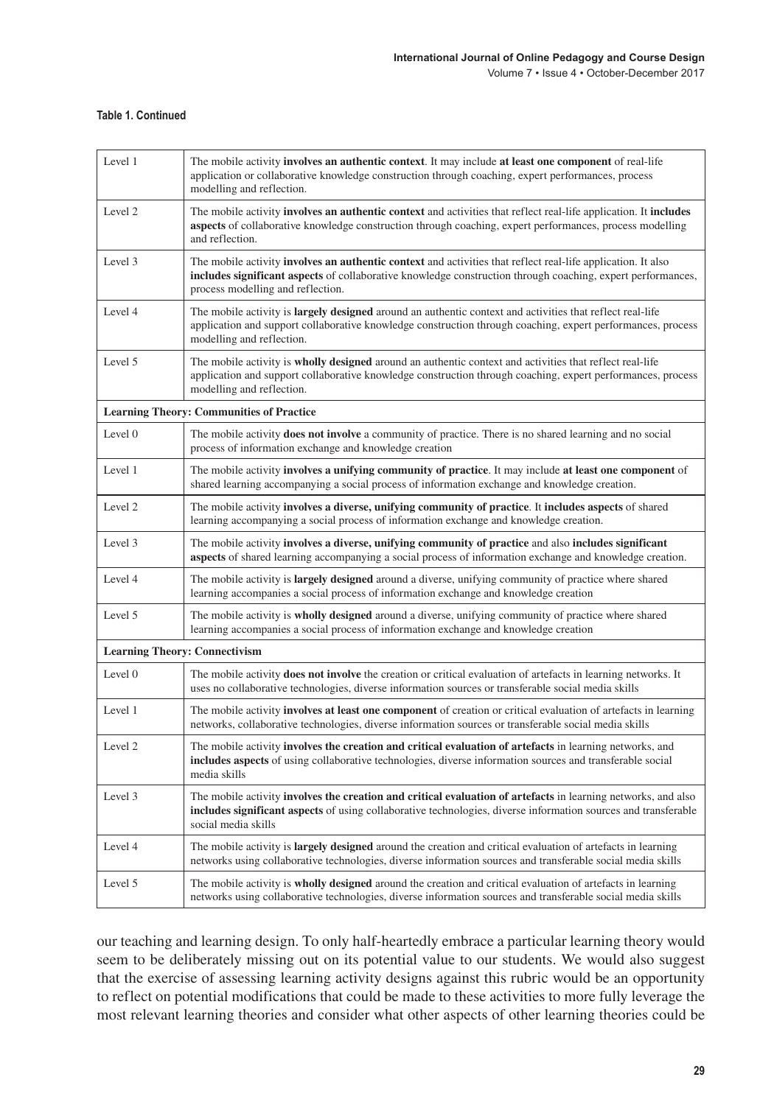#### **Table 1. Continued**

| Level 1                                         | The mobile activity involves an authentic context. It may include at least one component of real-life<br>application or collaborative knowledge construction through coaching, expert performances, process<br>modelling and reflection.                                |  |
|-------------------------------------------------|-------------------------------------------------------------------------------------------------------------------------------------------------------------------------------------------------------------------------------------------------------------------------|--|
| Level <sub>2</sub>                              | The mobile activity involves an authentic context and activities that reflect real-life application. It includes<br>aspects of collaborative knowledge construction through coaching, expert performances, process modelling<br>and reflection.                         |  |
| Level 3                                         | The mobile activity <b>involves an authentic context</b> and activities that reflect real-life application. It also<br>includes significant aspects of collaborative knowledge construction through coaching, expert performances,<br>process modelling and reflection. |  |
| Level 4                                         | The mobile activity is <b>largely designed</b> around an authentic context and activities that reflect real-life<br>application and support collaborative knowledge construction through coaching, expert performances, process<br>modelling and reflection.            |  |
| Level 5                                         | The mobile activity is <b>wholly designed</b> around an authentic context and activities that reflect real-life<br>application and support collaborative knowledge construction through coaching, expert performances, process<br>modelling and reflection.             |  |
| <b>Learning Theory: Communities of Practice</b> |                                                                                                                                                                                                                                                                         |  |
| Level 0                                         | The mobile activity <b>does not involve</b> a community of practice. There is no shared learning and no social<br>process of information exchange and knowledge creation                                                                                                |  |
| Level 1                                         | The mobile activity involves a unifying community of practice. It may include at least one component of<br>shared learning accompanying a social process of information exchange and knowledge creation.                                                                |  |
| Level <sub>2</sub>                              | The mobile activity involves a diverse, unifying community of practice. It includes aspects of shared<br>learning accompanying a social process of information exchange and knowledge creation.                                                                         |  |
| Level 3                                         | The mobile activity involves a diverse, unifying community of practice and also includes significant<br>aspects of shared learning accompanying a social process of information exchange and knowledge creation.                                                        |  |
| Level 4                                         | The mobile activity is <b>largely designed</b> around a diverse, unifying community of practice where shared<br>learning accompanies a social process of information exchange and knowledge creation                                                                    |  |
| Level 5                                         | The mobile activity is wholly designed around a diverse, unifying community of practice where shared<br>learning accompanies a social process of information exchange and knowledge creation                                                                            |  |
| <b>Learning Theory: Connectivism</b>            |                                                                                                                                                                                                                                                                         |  |
| Level 0                                         | The mobile activity <b>does not involve</b> the creation or critical evaluation of artefacts in learning networks. It<br>uses no collaborative technologies, diverse information sources or transferable social media skills                                            |  |
| Level 1                                         | The mobile activity involves at least one component of creation or critical evaluation of artefacts in learning<br>networks, collaborative technologies, diverse information sources or transferable social media skills                                                |  |
| Level <sub>2</sub>                              | The mobile activity involves the creation and critical evaluation of artefacts in learning networks, and<br><b>includes aspects</b> of using collaborative technologies, diverse information sources and transferable social<br>media skills                            |  |
| Level 3                                         | The mobile activity involves the creation and critical evaluation of artefacts in learning networks, and also<br>includes significant aspects of using collaborative technologies, diverse information sources and transferable<br>social media skills                  |  |
| Level 4                                         | The mobile activity is <b>largely designed</b> around the creation and critical evaluation of artefacts in learning<br>networks using collaborative technologies, diverse information sources and transferable social media skills                                      |  |
| Level 5                                         | The mobile activity is <b>wholly designed</b> around the creation and critical evaluation of artefacts in learning<br>networks using collaborative technologies, diverse information sources and transferable social media skills                                       |  |

our teaching and learning design. To only half-heartedly embrace a particular learning theory would seem to be deliberately missing out on its potential value to our students. We would also suggest that the exercise of assessing learning activity designs against this rubric would be an opportunity to reflect on potential modifications that could be made to these activities to more fully leverage the most relevant learning theories and consider what other aspects of other learning theories could be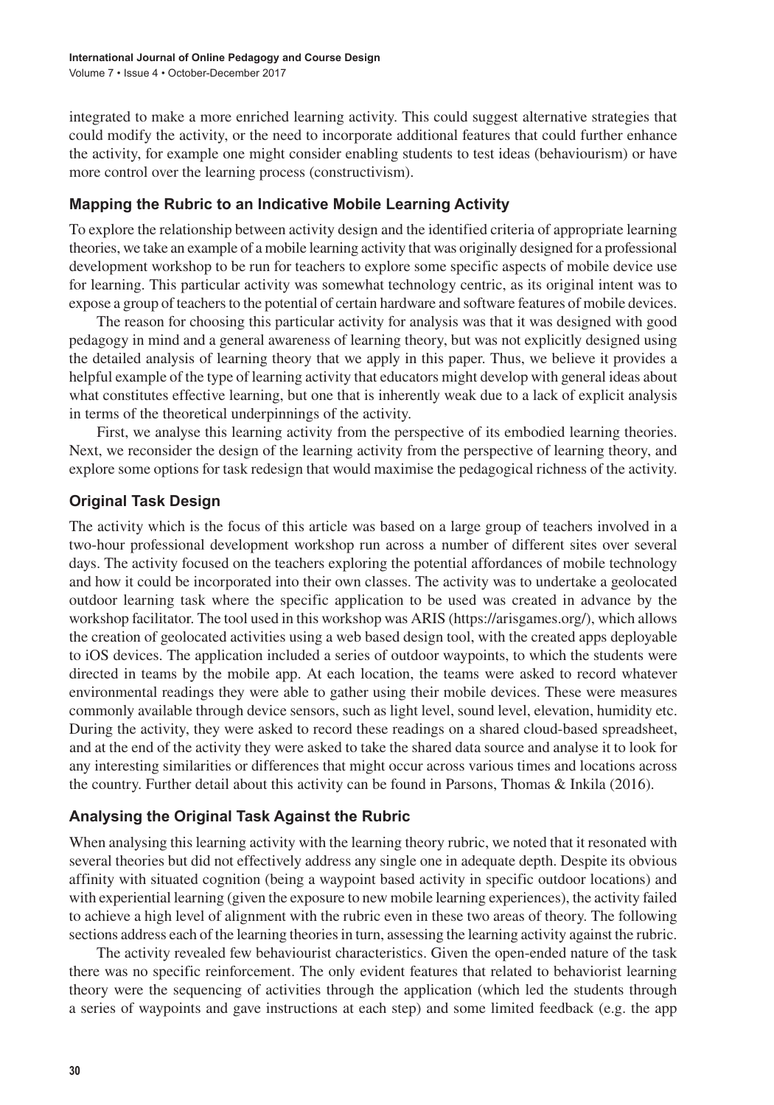integrated to make a more enriched learning activity. This could suggest alternative strategies that could modify the activity, or the need to incorporate additional features that could further enhance the activity, for example one might consider enabling students to test ideas (behaviourism) or have more control over the learning process (constructivism).

#### **Mapping the Rubric to an Indicative Mobile Learning Activity**

To explore the relationship between activity design and the identified criteria of appropriate learning theories, we take an example of a mobile learning activity that was originally designed for a professional development workshop to be run for teachers to explore some specific aspects of mobile device use for learning. This particular activity was somewhat technology centric, as its original intent was to expose a group of teachers to the potential of certain hardware and software features of mobile devices.

The reason for choosing this particular activity for analysis was that it was designed with good pedagogy in mind and a general awareness of learning theory, but was not explicitly designed using the detailed analysis of learning theory that we apply in this paper. Thus, we believe it provides a helpful example of the type of learning activity that educators might develop with general ideas about what constitutes effective learning, but one that is inherently weak due to a lack of explicit analysis in terms of the theoretical underpinnings of the activity.

First, we analyse this learning activity from the perspective of its embodied learning theories. Next, we reconsider the design of the learning activity from the perspective of learning theory, and explore some options for task redesign that would maximise the pedagogical richness of the activity.

#### **Original Task Design**

The activity which is the focus of this article was based on a large group of teachers involved in a two-hour professional development workshop run across a number of different sites over several days. The activity focused on the teachers exploring the potential affordances of mobile technology and how it could be incorporated into their own classes. The activity was to undertake a geolocated outdoor learning task where the specific application to be used was created in advance by the workshop facilitator. The tool used in this workshop was ARIS (https://arisgames.org/), which allows the creation of geolocated activities using a web based design tool, with the created apps deployable to iOS devices. The application included a series of outdoor waypoints, to which the students were directed in teams by the mobile app. At each location, the teams were asked to record whatever environmental readings they were able to gather using their mobile devices. These were measures commonly available through device sensors, such as light level, sound level, elevation, humidity etc. During the activity, they were asked to record these readings on a shared cloud-based spreadsheet, and at the end of the activity they were asked to take the shared data source and analyse it to look for any interesting similarities or differences that might occur across various times and locations across the country. Further detail about this activity can be found in Parsons, Thomas & Inkila (2016).

#### **Analysing the Original Task Against the Rubric**

When analysing this learning activity with the learning theory rubric, we noted that it resonated with several theories but did not effectively address any single one in adequate depth. Despite its obvious affinity with situated cognition (being a waypoint based activity in specific outdoor locations) and with experiential learning (given the exposure to new mobile learning experiences), the activity failed to achieve a high level of alignment with the rubric even in these two areas of theory. The following sections address each of the learning theories in turn, assessing the learning activity against the rubric.

The activity revealed few behaviourist characteristics. Given the open-ended nature of the task there was no specific reinforcement. The only evident features that related to behaviorist learning theory were the sequencing of activities through the application (which led the students through a series of waypoints and gave instructions at each step) and some limited feedback (e.g. the app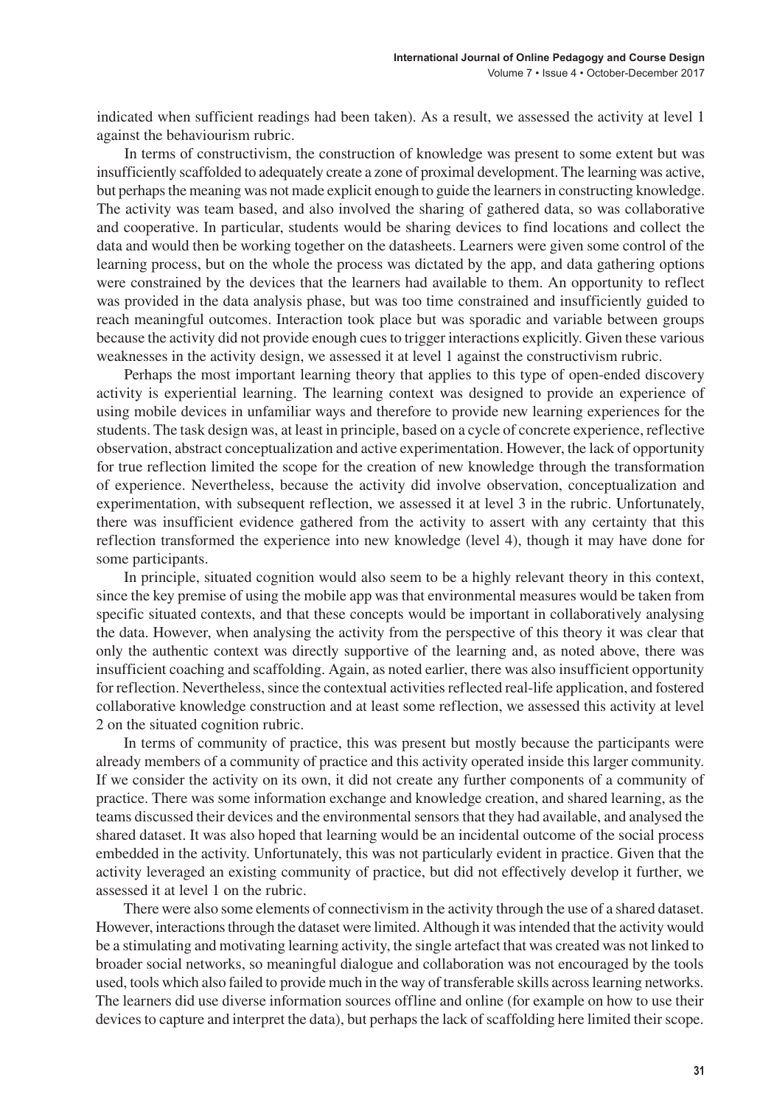indicated when sufficient readings had been taken). As a result, we assessed the activity at level 1 against the behaviourism rubric.

In terms of constructivism, the construction of knowledge was present to some extent but was insufficiently scaffolded to adequately create a zone of proximal development. The learning was active, but perhaps the meaning was not made explicit enough to guide the learners in constructing knowledge. The activity was team based, and also involved the sharing of gathered data, so was collaborative and cooperative. In particular, students would be sharing devices to find locations and collect the data and would then be working together on the datasheets. Learners were given some control of the learning process, but on the whole the process was dictated by the app, and data gathering options were constrained by the devices that the learners had available to them. An opportunity to reflect was provided in the data analysis phase, but was too time constrained and insufficiently guided to reach meaningful outcomes. Interaction took place but was sporadic and variable between groups because the activity did not provide enough cuesto trigger interactions explicitly. Given these various weaknesses in the activity design, we assessed it at level 1 against the constructivism rubric.

Perhaps the most important learning theory that applies to this type of open-ended discovery activity is experiential learning. The learning context was designed to provide an experience of using mobile devices in unfamiliar ways and therefore to provide new learning experiences for the students. The task design was, at least in principle, based on a cycle of concrete experience, reflective observation, abstract conceptualization and active experimentation. However, the lack of opportunity for true reflection limited the scope for the creation of new knowledge through the transformation of experience. Nevertheless, because the activity did involve observation, conceptualization and experimentation, with subsequent reflection, we assessed it at level 3 in the rubric. Unfortunately, there was insufficient evidence gathered from the activity to assert with any certainty that this reflection transformed the experience into new knowledge (level 4), though it may have done for some participants.

In principle, situated cognition would also seem to be a highly relevant theory in this context, since the key premise of using the mobile app was that environmental measures would be taken from specific situated contexts, and that these concepts would be important in collaboratively analysing the data. However, when analysing the activity from the perspective of this theory it was clear that only the authentic context was directly supportive of the learning and, as noted above, there was insufficient coaching and scaffolding. Again, as noted earlier, there was also insufficient opportunity for reflection. Nevertheless, since the contextual activities reflected real-life application, and fostered collaborative knowledge construction and at least some reflection, we assessed this activity at level 2 on the situated cognition rubric.

In terms of community of practice, this was present but mostly because the participants were already members of a community of practice and this activity operated inside this larger community. If we consider the activity on its own, it did not create any further components of a community of practice. There was some information exchange and knowledge creation, and shared learning, as the teams discussed their devices and the environmental sensors that they had available, and analysed the shared dataset. It was also hoped that learning would be an incidental outcome of the social process embedded in the activity. Unfortunately, this was not particularly evident in practice. Given that the activity leveraged an existing community of practice, but did not effectively develop it further, we assessed it at level 1 on the rubric.

There were also some elements of connectivism in the activity through the use of a shared dataset. However, interactions through the dataset were limited. Although it was intended that the activity would be a stimulating and motivating learning activity, the single artefact that was created was not linked to broader social networks, so meaningful dialogue and collaboration was not encouraged by the tools used, tools which also failed to provide much in the way of transferable skills acrosslearning networks. The learners did use diverse information sources offline and online (for example on how to use their devices to capture and interpret the data), but perhaps the lack of scaffolding here limited their scope.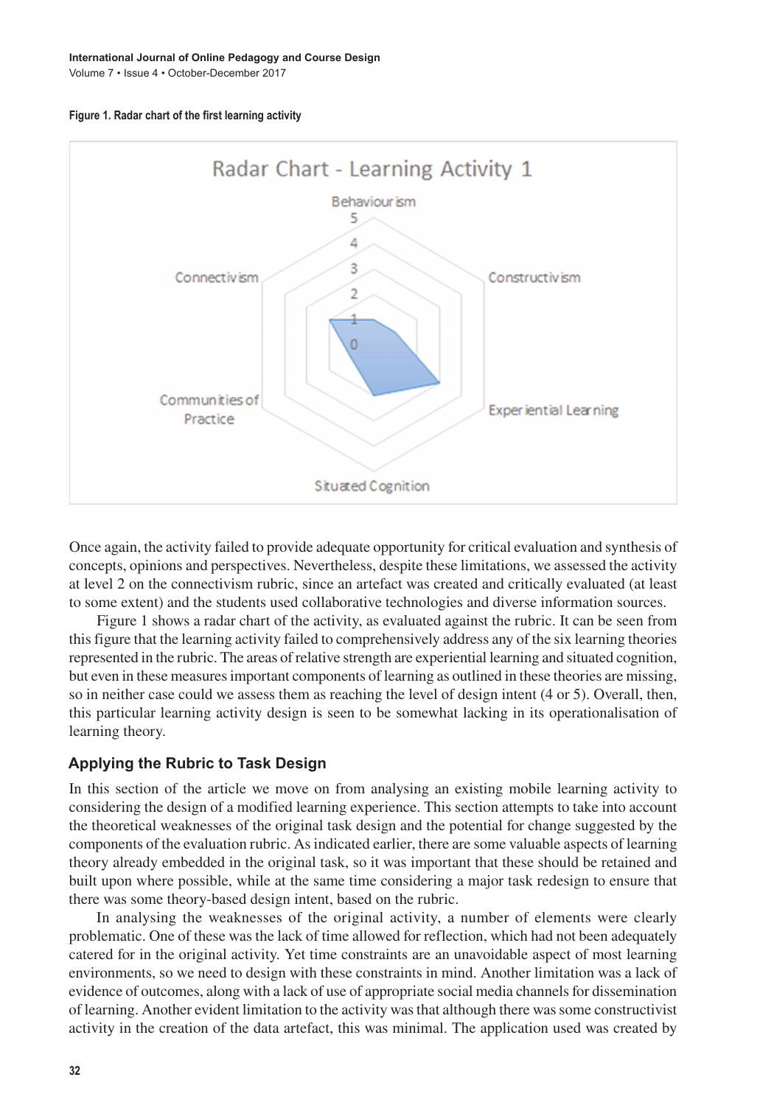Volume 7 • Issue 4 • October-December 2017





Once again, the activity failed to provide adequate opportunity for critical evaluation and synthesis of concepts, opinions and perspectives. Nevertheless, despite these limitations, we assessed the activity at level 2 on the connectivism rubric, since an artefact was created and critically evaluated (at least to some extent) and the students used collaborative technologies and diverse information sources.

Figure 1 shows a radar chart of the activity, as evaluated against the rubric. It can be seen from thisfigure that the learning activity failed to comprehensively address any of the six learning theories represented in the rubric. The areas of relative strength are experiential learning and situated cognition, but even in these measuresimportant components of learning as outlined in these theories are missing, so in neither case could we assess them as reaching the level of design intent (4 or 5). Overall, then, this particular learning activity design is seen to be somewhat lacking in its operationalisation of learning theory.

#### **Applying the Rubric to Task Design**

In this section of the article we move on from analysing an existing mobile learning activity to considering the design of a modified learning experience. This section attempts to take into account the theoretical weaknesses of the original task design and the potential for change suggested by the components of the evaluation rubric. Asindicated earlier, there are some valuable aspects of learning theory already embedded in the original task, so it was important that these should be retained and built upon where possible, while at the same time considering a major task redesign to ensure that there was some theory-based design intent, based on the rubric.

In analysing the weaknesses of the original activity, a number of elements were clearly problematic. One of these was the lack of time allowed for reflection, which had not been adequately catered for in the original activity. Yet time constraints are an unavoidable aspect of most learning environments, so we need to design with these constraints in mind. Another limitation was a lack of evidence of outcomes, along with a lack of use of appropriate social media channels for dissemination of learning. Another evident limitation to the activity wasthat although there wassome constructivist activity in the creation of the data artefact, this was minimal. The application used was created by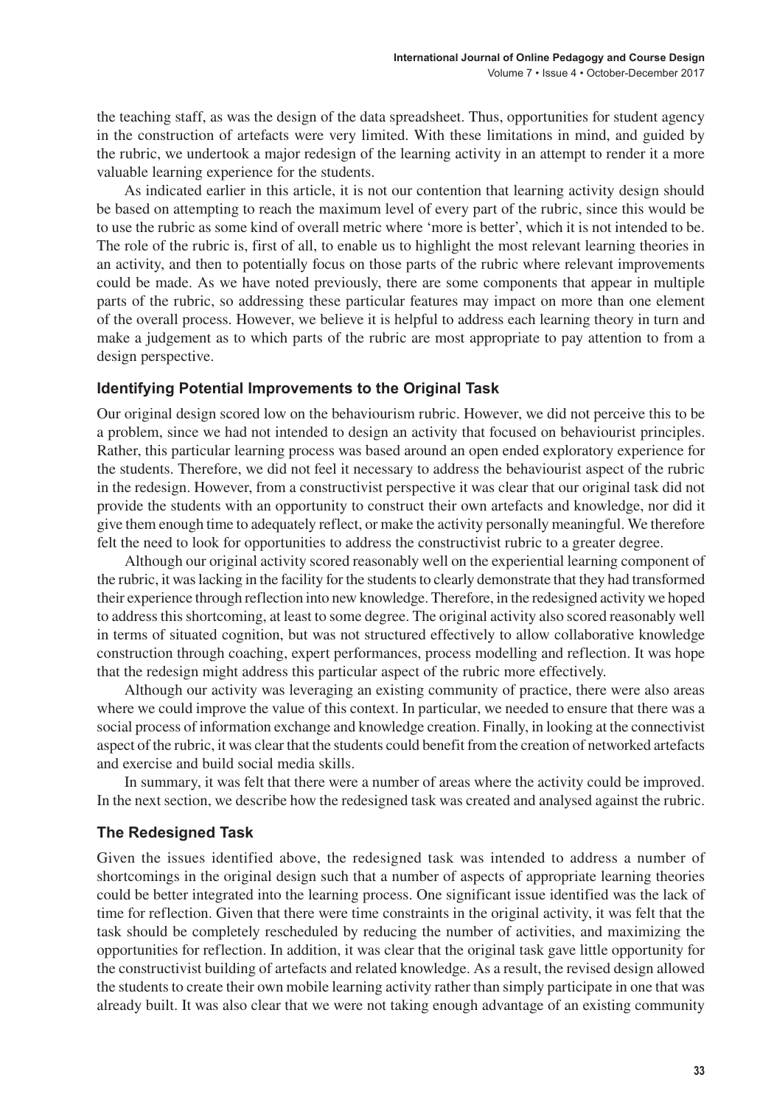the teaching staff, as was the design of the data spreadsheet. Thus, opportunities for student agency in the construction of artefacts were very limited. With these limitations in mind, and guided by the rubric, we undertook a major redesign of the learning activity in an attempt to render it a more valuable learning experience for the students.

As indicated earlier in this article, it is not our contention that learning activity design should be based on attempting to reach the maximum level of every part of the rubric, since this would be to use the rubric as some kind of overall metric where 'more is better', which it is not intended to be. The role of the rubric is, first of all, to enable us to highlight the most relevant learning theories in an activity, and then to potentially focus on those parts of the rubric where relevant improvements could be made. As we have noted previously, there are some components that appear in multiple parts of the rubric, so addressing these particular features may impact on more than one element of the overall process. However, we believe it is helpful to address each learning theory in turn and make a judgement as to which parts of the rubric are most appropriate to pay attention to from a design perspective.

#### **Identifying Potential Improvements to the Original Task**

Our original design scored low on the behaviourism rubric. However, we did not perceive this to be a problem, since we had not intended to design an activity that focused on behaviourist principles. Rather, this particular learning process was based around an open ended exploratory experience for the students. Therefore, we did not feel it necessary to address the behaviourist aspect of the rubric in the redesign. However, from a constructivist perspective it was clear that our original task did not provide the students with an opportunity to construct their own artefacts and knowledge, nor did it give them enough time to adequately reflect, or make the activity personally meaningful. We therefore felt the need to look for opportunities to address the constructivist rubric to a greater degree.

Although our original activity scored reasonably well on the experiential learning component of the rubric, it was lacking in the facility for the students to clearly demonstrate that they had transformed their experience through reflection into new knowledge. Therefore, in the redesigned activity we hoped to addressthisshortcoming, at least to some degree. The original activity also scored reasonably well in terms of situated cognition, but was not structured effectively to allow collaborative knowledge construction through coaching, expert performances, process modelling and reflection. It was hope that the redesign might address this particular aspect of the rubric more effectively.

Although our activity was leveraging an existing community of practice, there were also areas where we could improve the value of this context. In particular, we needed to ensure that there was a social process of information exchange and knowledge creation. Finally, in looking at the connectivist aspect of the rubric, it was clear that the students could benefit from the creation of networked artefacts and exercise and build social media skills.

In summary, it was felt that there were a number of areas where the activity could be improved. In the next section, we describe how the redesigned task was created and analysed against the rubric.

#### **The Redesigned Task**

Given the issues identified above, the redesigned task was intended to address a number of shortcomings in the original design such that a number of aspects of appropriate learning theories could be better integrated into the learning process. One significant issue identified was the lack of time for reflection. Given that there were time constraints in the original activity, it was felt that the task should be completely rescheduled by reducing the number of activities, and maximizing the opportunities for reflection. In addition, it was clear that the original task gave little opportunity for the constructivist building of artefacts and related knowledge. As a result, the revised design allowed the students to create their own mobile learning activity rather than simply participate in one that was already built. It was also clear that we were not taking enough advantage of an existing community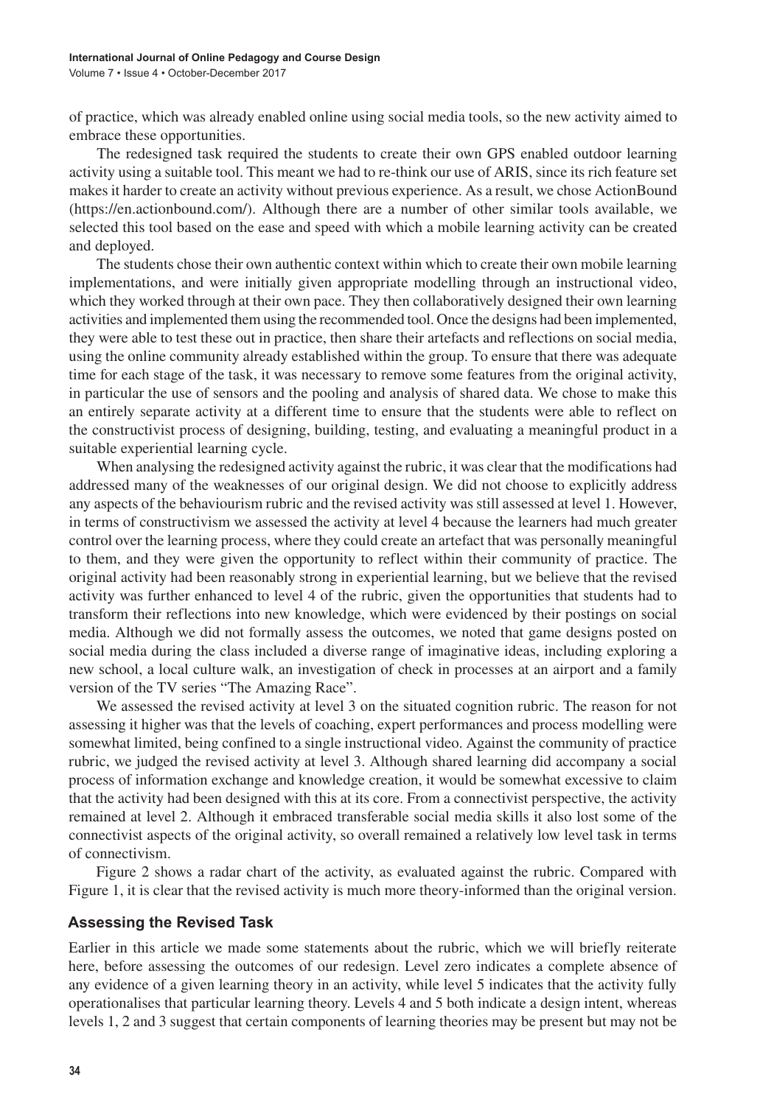of practice, which was already enabled online using social media tools, so the new activity aimed to embrace these opportunities.

The redesigned task required the students to create their own GPS enabled outdoor learning activity using a suitable tool. This meant we had to re-think our use of ARIS, since its rich feature set makes it harder to create an activity without previous experience. As a result, we chose ActionBound (https://en.actionbound.com/). Although there are a number of other similar tools available, we selected this tool based on the ease and speed with which a mobile learning activity can be created and deployed.

The students chose their own authentic context within which to create their own mobile learning implementations, and were initially given appropriate modelling through an instructional video, which they worked through at their own pace. They then collaboratively designed their own learning activities and implemented them using the recommended tool. Once the designs had been implemented, they were able to test these out in practice, then share their artefacts and reflections on social media, using the online community already established within the group. To ensure that there was adequate time for each stage of the task, it was necessary to remove some features from the original activity, in particular the use of sensors and the pooling and analysis of shared data. We chose to make this an entirely separate activity at a different time to ensure that the students were able to reflect on the constructivist process of designing, building, testing, and evaluating a meaningful product in a suitable experiential learning cycle.

When analysing the redesigned activity against the rubric, it was clear that the modifications had addressed many of the weaknesses of our original design. We did not choose to explicitly address any aspects of the behaviourism rubric and the revised activity was still assessed at level 1. However, in terms of constructivism we assessed the activity at level 4 because the learners had much greater control over the learning process, where they could create an artefact that was personally meaningful to them, and they were given the opportunity to reflect within their community of practice. The original activity had been reasonably strong in experiential learning, but we believe that the revised activity was further enhanced to level 4 of the rubric, given the opportunities that students had to transform their reflections into new knowledge, which were evidenced by their postings on social media. Although we did not formally assess the outcomes, we noted that game designs posted on social media during the class included a diverse range of imaginative ideas, including exploring a new school, a local culture walk, an investigation of check in processes at an airport and a family version of the TV series "The Amazing Race".

We assessed the revised activity at level 3 on the situated cognition rubric. The reason for not assessing it higher was that the levels of coaching, expert performances and process modelling were somewhat limited, being confined to a single instructional video. Against the community of practice rubric, we judged the revised activity at level 3. Although shared learning did accompany a social process of information exchange and knowledge creation, it would be somewhat excessive to claim that the activity had been designed with this at its core. From a connectivist perspective, the activity remained at level 2. Although it embraced transferable social media skills it also lost some of the connectivist aspects of the original activity, so overall remained a relatively low level task in terms of connectivism.

Figure 2 shows a radar chart of the activity, as evaluated against the rubric. Compared with Figure 1, it is clear that the revised activity is much more theory-informed than the original version.

#### **Assessing the Revised Task**

Earlier in this article we made some statements about the rubric, which we will briefly reiterate here, before assessing the outcomes of our redesign. Level zero indicates a complete absence of any evidence of a given learning theory in an activity, while level 5 indicates that the activity fully operationalises that particular learning theory. Levels 4 and 5 both indicate a design intent, whereas levels 1, 2 and 3 suggest that certain components of learning theories may be present but may not be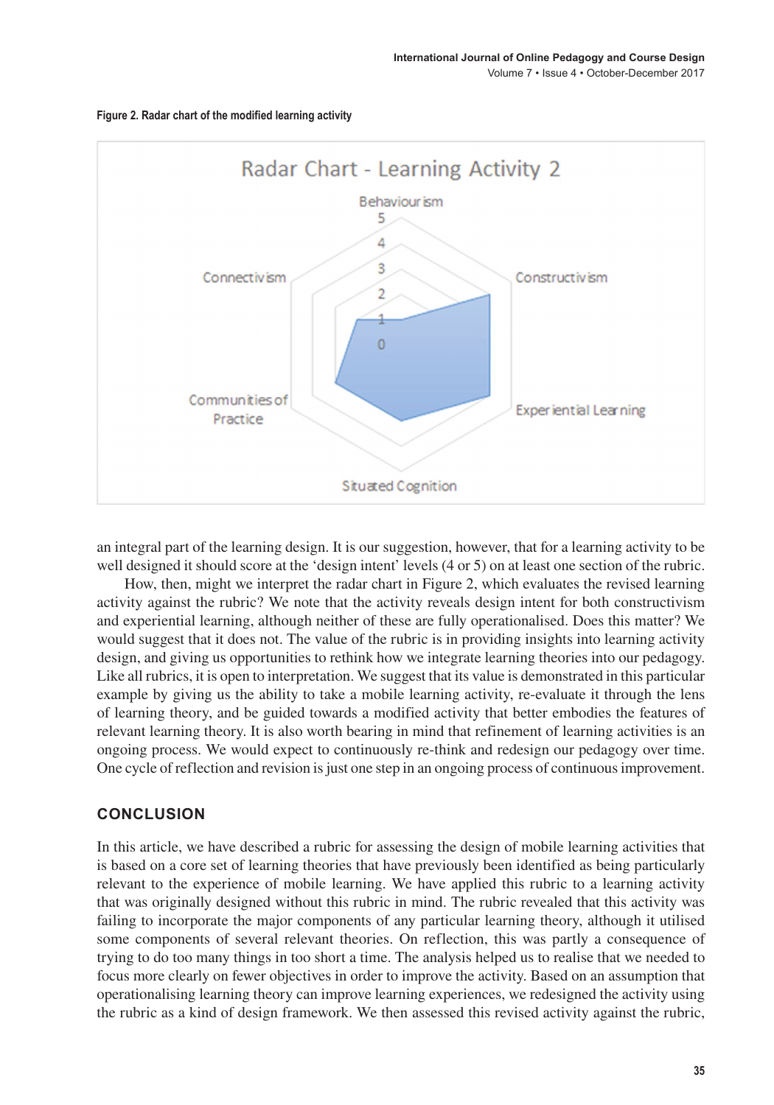

**Figure 2. Radar chart of the modified learning activity**

an integral part of the learning design. It is our suggestion, however, that for a learning activity to be well designed it should score at the 'design intent' levels (4 or 5) on at least one section of the rubric.

How, then, might we interpret the radar chart in Figure 2, which evaluates the revised learning activity against the rubric? We note that the activity reveals design intent for both constructivism and experiential learning, although neither of these are fully operationalised. Does this matter? We would suggest that it does not. The value of the rubric is in providing insights into learning activity design, and giving us opportunities to rethink how we integrate learning theories into our pedagogy. Like all rubrics, it is open to interpretation. We suggest that its value is demonstrated in this particular example by giving us the ability to take a mobile learning activity, re-evaluate it through the lens of learning theory, and be guided towards a modified activity that better embodies the features of relevant learning theory. It is also worth bearing in mind that refinement of learning activities is an ongoing process. We would expect to continuously re-think and redesign our pedagogy over time. One cycle of reflection and revision isjust one step in an ongoing process of continuousimprovement.

#### **CONCLUSION**

In this article, we have described a rubric for assessing the design of mobile learning activities that is based on a core set of learning theories that have previously been identified as being particularly relevant to the experience of mobile learning. We have applied this rubric to a learning activity that was originally designed without this rubric in mind. The rubric revealed that this activity was failing to incorporate the major components of any particular learning theory, although it utilised some components of several relevant theories. On reflection, this was partly a consequence of trying to do too many things in too short a time. The analysis helped us to realise that we needed to focus more clearly on fewer objectives in order to improve the activity. Based on an assumption that operationalising learning theory can improve learning experiences, we redesigned the activity using the rubric as a kind of design framework. We then assessed this revised activity against the rubric,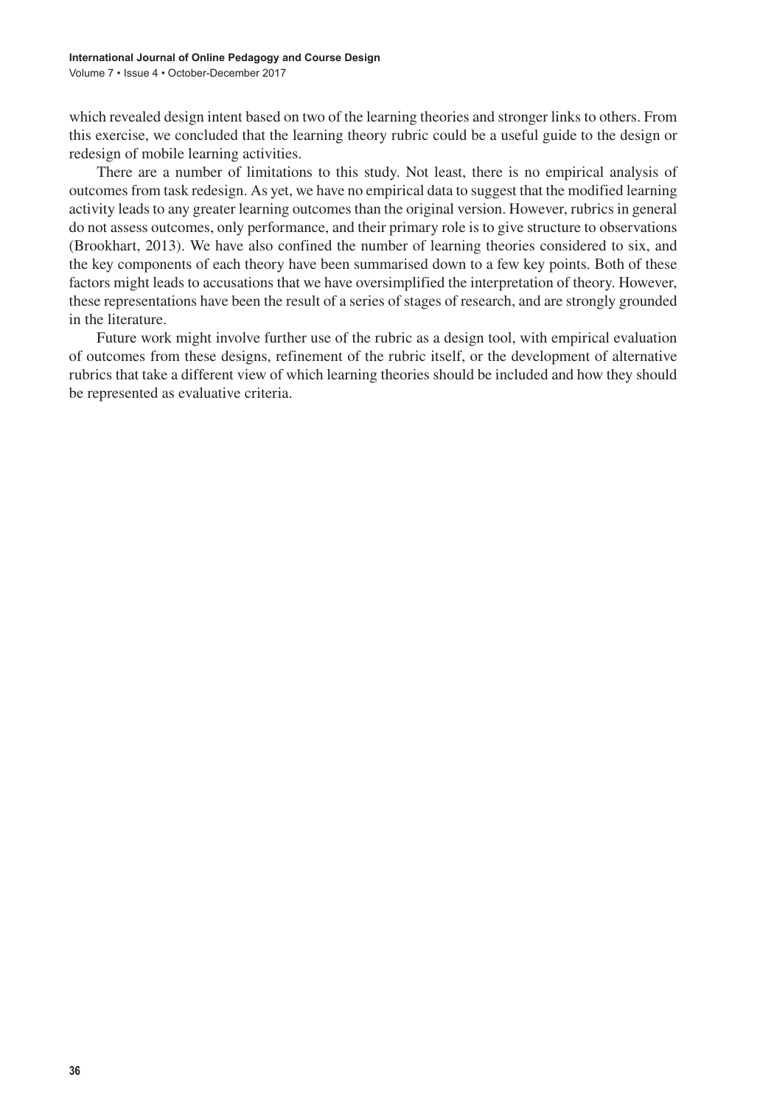which revealed design intent based on two of the learning theories and stronger links to others. From this exercise, we concluded that the learning theory rubric could be a useful guide to the design or redesign of mobile learning activities.

There are a number of limitations to this study. Not least, there is no empirical analysis of outcomes from task redesign. As yet, we have no empirical data to suggest that the modified learning activity leads to any greater learning outcomes than the original version. However, rubrics in general do not assess outcomes, only performance, and their primary role is to give structure to observations (Brookhart, 2013). We have also confined the number of learning theories considered to six, and the key components of each theory have been summarised down to a few key points. Both of these factors might leads to accusations that we have oversimplified the interpretation of theory. However, these representations have been the result of a series of stages of research, and are strongly grounded in the literature.

Future work might involve further use of the rubric as a design tool, with empirical evaluation of outcomes from these designs, refinement of the rubric itself, or the development of alternative rubrics that take a different view of which learning theories should be included and how they should be represented as evaluative criteria.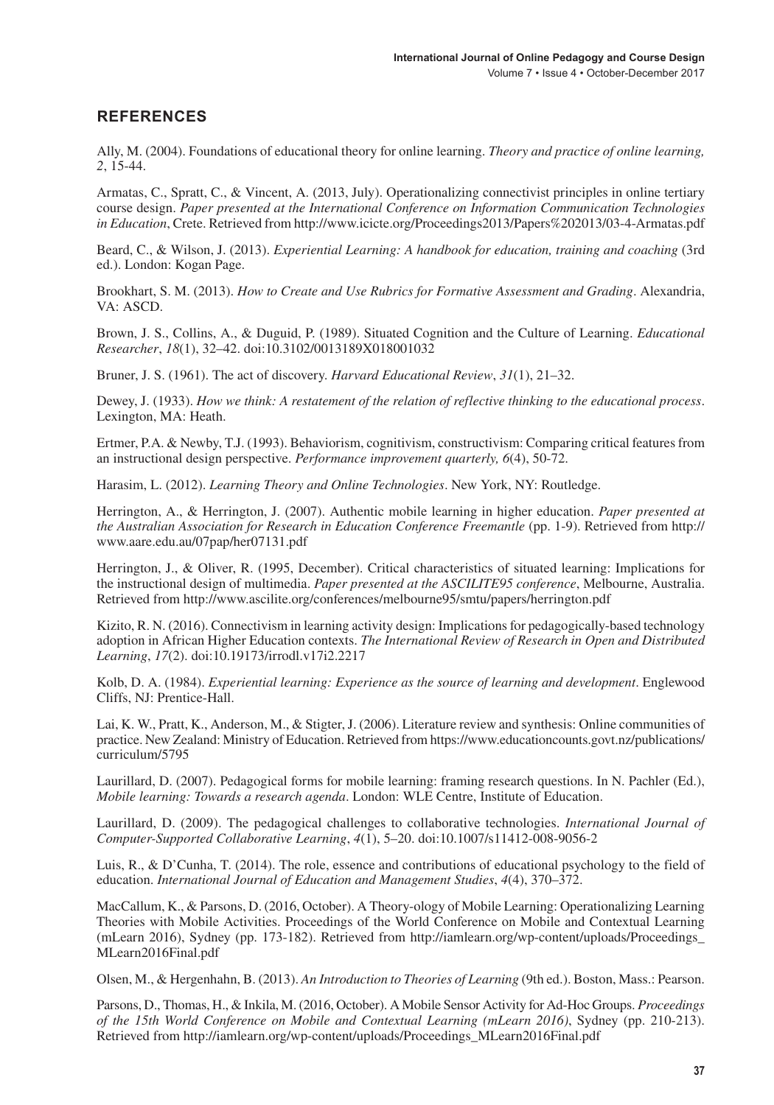#### **REFERENCES**

Ally, M. (2004). Foundations of educational theory for online learning. *Theory and practice of online learning, 2*, 15-44.

Armatas, C., Spratt, C., & Vincent, A. (2013, July). Operationalizing connectivist principles in online tertiary course design. *Paper presented at the International Conference on Information Communication Technologies in Education*, Crete. Retrieved from http://www.icicte.org/Proceedings2013/Papers%202013/03-4-Armatas.pdf

Beard, C., & Wilson, J. (2013). *Experiential Learning: A handbook for education, training and coaching* (3rd ed.). London: Kogan Page.

Brookhart, S. M. (2013). *How to Create and Use Rubrics for Formative Assessment and Grading*. Alexandria, VA: ASCD.

Brown, J. S., Collins, A., & Duguid, P. (1989). Situated Cognition and the Culture of Learning. *Educational Researcher*, *18*(1), 32–42. doi:10.3102/0013189X018001032

Bruner, J. S. (1961). The act of discovery. *Harvard Educational Review*, *31*(1), 21–32.

Dewey, J. (1933). *How we think: A restatement of the relation of reflective thinking to the educational process*. Lexington, MA: Heath.

Ertmer, P.A. & Newby, T.J. (1993). Behaviorism, cognitivism, constructivism: Comparing critical features from an instructional design perspective. *Performance improvement quarterly, 6*(4), 50-72.

Harasim, L. (2012). *Learning Theory and Online Technologies*. New York, NY: Routledge.

Herrington, A., & Herrington, J. (2007). Authentic mobile learning in higher education. *Paper presented at the Australian Association for Research in Education Conference Freemantle* (pp. 1-9). Retrieved from http:// www.aare.edu.au/07pap/her07131.pdf

Herrington, J., & Oliver, R. (1995, December). Critical characteristics of situated learning: Implications for the instructional design of multimedia. *Paper presented at the ASCILITE95 conference*, Melbourne, Australia. Retrieved from http://www.ascilite.org/conferences/melbourne95/smtu/papers/herrington.pdf

Kizito, R. N. (2016). Connectivism in learning activity design: Implications for pedagogically-based technology adoption in African Higher Education contexts. *The International Review of Research in Open and Distributed Learning*, *17*(2). doi:10.19173/irrodl.v17i2.2217

Kolb, D. A. (1984). *Experiential learning: Experience as the source of learning and development*. Englewood Cliffs, NJ: Prentice-Hall.

Lai, K. W., Pratt, K., Anderson, M., & Stigter, J. (2006). Literature review and synthesis: Online communities of practice. New Zealand: Ministry of Education. Retrieved from https://www.educationcounts.govt.nz/publications/ curriculum/5795

Laurillard, D. (2007). Pedagogical forms for mobile learning: framing research questions. In N. Pachler (Ed.), *Mobile learning: Towards a research agenda*. London: WLE Centre, Institute of Education.

Laurillard, D. (2009). The pedagogical challenges to collaborative technologies. *International Journal of Computer-Supported Collaborative Learning*, *4*(1), 5–20. doi:10.1007/s11412-008-9056-2

Luis, R., & D'Cunha, T. (2014). The role, essence and contributions of educational psychology to the field of education. *International Journal of Education and Management Studies*, *4*(4), 370–372.

MacCallum, K., & Parsons, D. (2016, October). A Theory-ology of Mobile Learning: Operationalizing Learning Theories with Mobile Activities. Proceedings of the World Conference on Mobile and Contextual Learning (mLearn 2016), Sydney (pp. 173-182). Retrieved from http://iamlearn.org/wp-content/uploads/Proceedings\_ MLearn2016Final.pdf

Olsen, M., & Hergenhahn, B. (2013). *An Introduction to Theories of Learning* (9th ed.). Boston, Mass.: Pearson.

Parsons, D., Thomas, H., & Inkila, M.(2016, October). A Mobile Sensor Activity for Ad-Hoc Groups. *Proceedings of the 15th World Conference on Mobile and Contextual Learning (mLearn 2016)*, Sydney (pp. 210-213). Retrieved from http://iamlearn.org/wp-content/uploads/Proceedings\_MLearn2016Final.pdf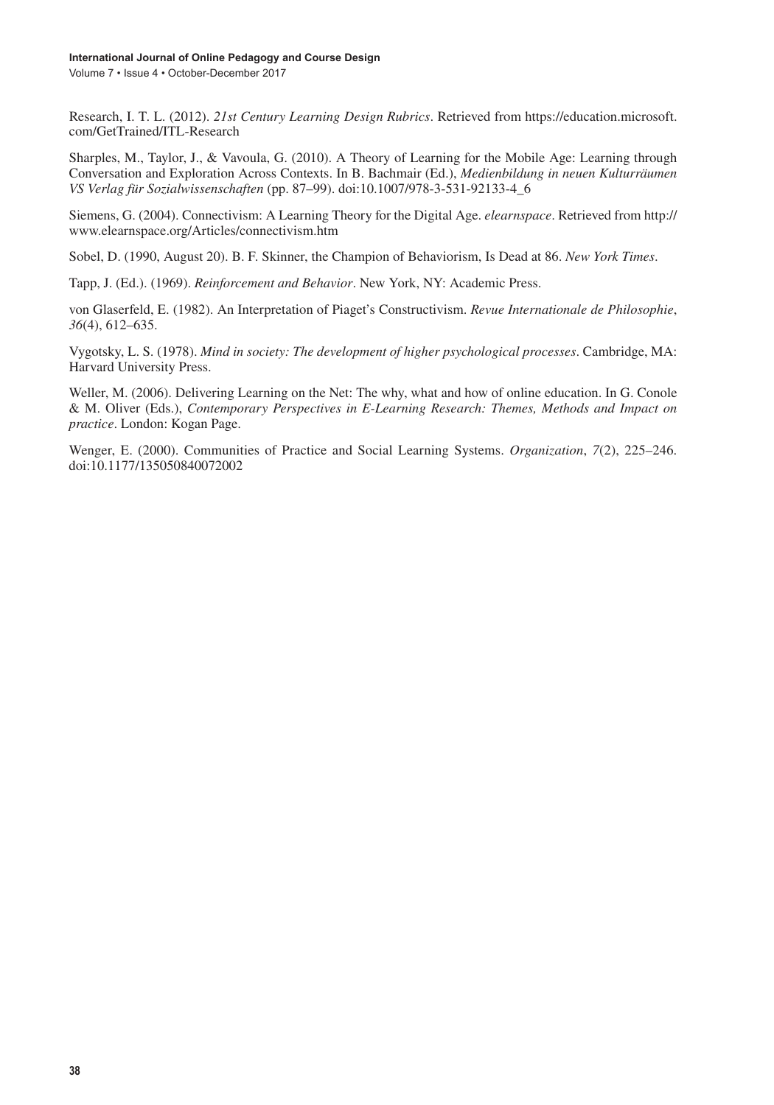Volume 7 • Issue 4 • October-December 2017

Research, I. T. L. (2012). *21st Century Learning Design Rubrics*. Retrieved from https://education.microsoft. com/GetTrained/ITL-Research

Sharples, M., Taylor, J., & Vavoula, G. (2010). A Theory of Learning for the Mobile Age: Learning through Conversation and Exploration Across Contexts. In B. Bachmair (Ed.), *Medienbildung in neuen Kulturräumen VS Verlag für Sozialwissenschaften* (pp. 87–99). doi:10.1007/978-3-531-92133-4\_6

Siemens, G. (2004). Connectivism: A Learning Theory for the Digital Age. *elearnspace*. Retrieved from http:// www.elearnspace.org/Articles/connectivism.htm

Sobel, D. (1990, August 20). B. F. Skinner, the Champion of Behaviorism, Is Dead at 86. *New York Times*.

Tapp, J. (Ed.). (1969). *Reinforcement and Behavior*. New York, NY: Academic Press.

von Glaserfeld, E. (1982). An Interpretation of Piaget's Constructivism. *Revue Internationale de Philosophie*, *36*(4), 612–635.

Vygotsky, L. S. (1978). *Mind in society: The development of higher psychological processes*. Cambridge, MA: Harvard University Press.

Weller, M. (2006). Delivering Learning on the Net: The why, what and how of online education. In G. Conole & M. Oliver (Eds.), *Contemporary Perspectives in E-Learning Research: Themes, Methods and Impact on practice*. London: Kogan Page.

Wenger, E. (2000). Communities of Practice and Social Learning Systems. *Organization*, *7*(2), 225–246. doi:10.1177/135050840072002